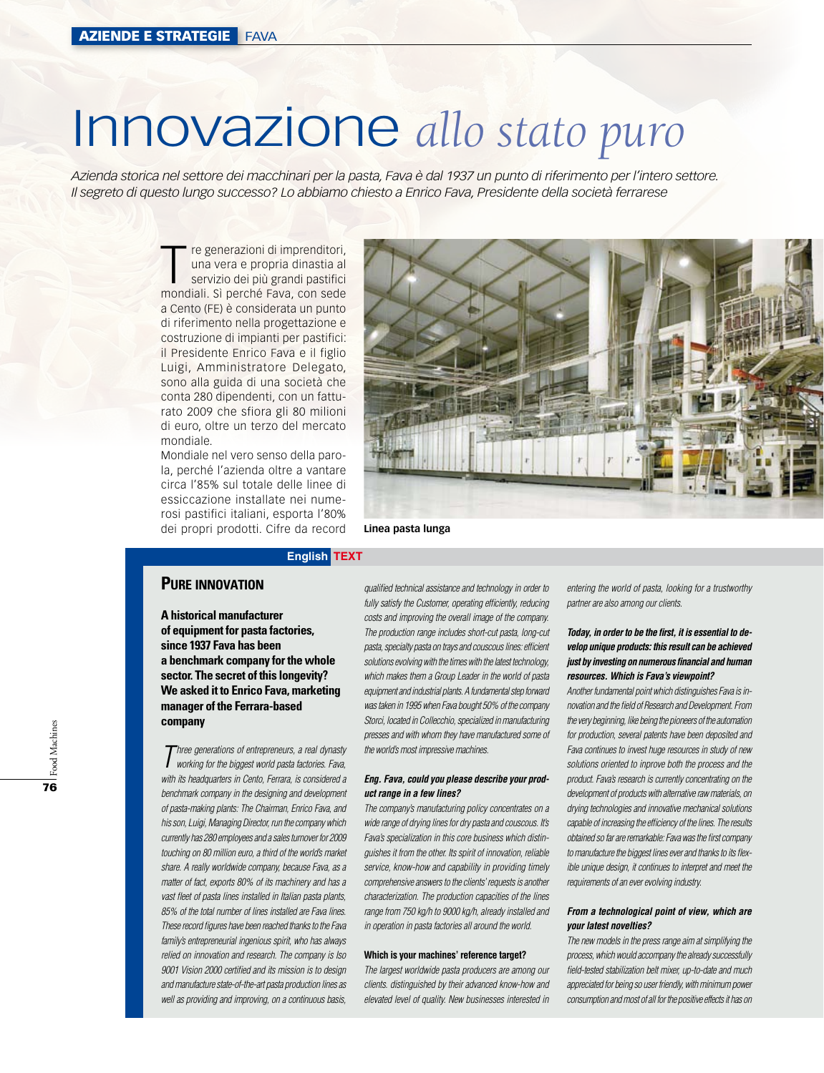# Innovazione *allo stato puro*

*Azienda storica nel settore dei macchinari per la pasta, Fava è dal 1937 un punto di riferimento per l'intero settore. Il segreto di questo lungo successo? Lo abbiamo chiesto a Enrico Fava, Presidente della società ferrarese*

> Tre generazioni di imprenditori,<br>
> una vera e propria dinastia al<br>
> servizio dei più grandi pastifici<br>
> mondiali Sì perché Eava, con sede una vera e propria dinastia al mondiali. Sì perché Fava, con sede a Cento (FE) è considerata un punto di riferimento nella progettazione e costruzione di impianti per pastifici: il Presidente Enrico Fava e il figlio Luigi, Amministratore Delegato, sono alla guida di una società che conta 280 dipendenti, con un fatturato 2009 che sfiora gli 80 milioni di euro, oltre un terzo del mercato mondiale.

> Mondiale nel vero senso della parola, perché l'azienda oltre a vantare circa l'85% sul totale delle linee di essiccazione installate nei numerosi pastifici italiani, esporta l'80% dei propri prodotti. Cifre da record



**Linea pasta lunga**

# **English TEXT**

# **Pure innovation**

**A historical manufacturer of equipment for pasta factories, since 1937 Fava has been a benchmark company for the whole sector. The secret of this longevity? We asked it to Enrico Fava, marketing manager of the Ferrara-based company**

*Three generations of entrepreneurs, a real dynasty working for the biggest world pasta factories. Fava, with its headquarters in Cento, Ferrara, is considered a benchmark company in the designing and development of pasta-making plants: The Chairman, Enrico Fava, and his son, Luigi, Managing Director, run the company which currently has 280 employees and a sales turnover for 2009 touching on 80 million euro, a third of the world's market share. A really worldwide company, because Fava, as a matter of fact, exports 80% of its machinery and has a vast fleet of pasta lines installed in Italian pasta plants, 85% of the total number of lines installed are Fava lines. These record figures have been reached thanks to the Fava family's entrepreneurial ingenious spirit, who has always relied on innovation and research. The company is Iso 9001 Vision 2000 certified and its mission is to design and manufacture state-of-the-art pasta production lines as well as providing and improving, on a continuous basis,* 

*qualified technical assistance and technology in order to fully satisfy the Customer, operating efficiently, reducing costs and improving the overall image of the company. The production range includes short-cut pasta, long-cut pasta, specialty pasta on trays and couscous lines: efficient solutions evolving with the times with the latest technology, which makes them a Group Leader in the world of pasta equipment and industrial plants. A fundamental step forward was taken in 1995 when Fava bought 50% of the company Storci, located in Collecchio, specialized in manufacturing presses and with whom they have manufactured some of the world's most impressive machines.*

## *Eng. Fava, could you please describe your product range in a few lines?*

*The company's manufacturing policy concentrates on a wide range of drying lines for dry pasta and couscous. It's Fava's specialization in this core business which distinguishes it from the other. Its spirit of innovation, reliable service, know-how and capability in providing timely comprehensive answers to the clients' requests is another characterization. The production capacities of the lines range from 750 kg/h to 9000 kg/h, already installed and in operation in pasta factories all around the world.* 

### **Which is your machines' reference target?**

*The largest worldwide pasta producers are among our clients. distinguished by their advanced know-how and elevated level of quality. New businesses interested in* 

*entering the world of pasta, looking for a trustworthy partner are also among our clients.*

# *Today, in order to be the first, it is essential to develop unique products: this result can be achieved just by investing on numerous financial and human resources. Which is Fava's viewpoint?*

*Another fundamental point which distinguishes Fava is innovation and the field of Research and Development. From the very beginning, like being the pioneers of the automation for production, several patents have been deposited and Fava continues to invest huge resources in study of new solutions oriented to inprove both the process and the product. Fava's research is currently concentrating on the development of products with alternative raw materials, on drying technologies and innovative mechanical solutions capable of increasing the efficiency of the lines. The results obtained so far are remarkable: Fava was the first company to manufacture the biggest lines ever and thanks to its flexible unique design, it continues to interpret and meet the requirements of an ever evolving industry.*

### *From a technological point of view, which are your latest novelties?*

*The new models in the press range aim at simplifying the process, which would accompany the already successfully field-tested stabilization belt mixer, up-to-date and much appreciated for being so user friendly, with minimum power consumption and most of all for the positive effects it has on*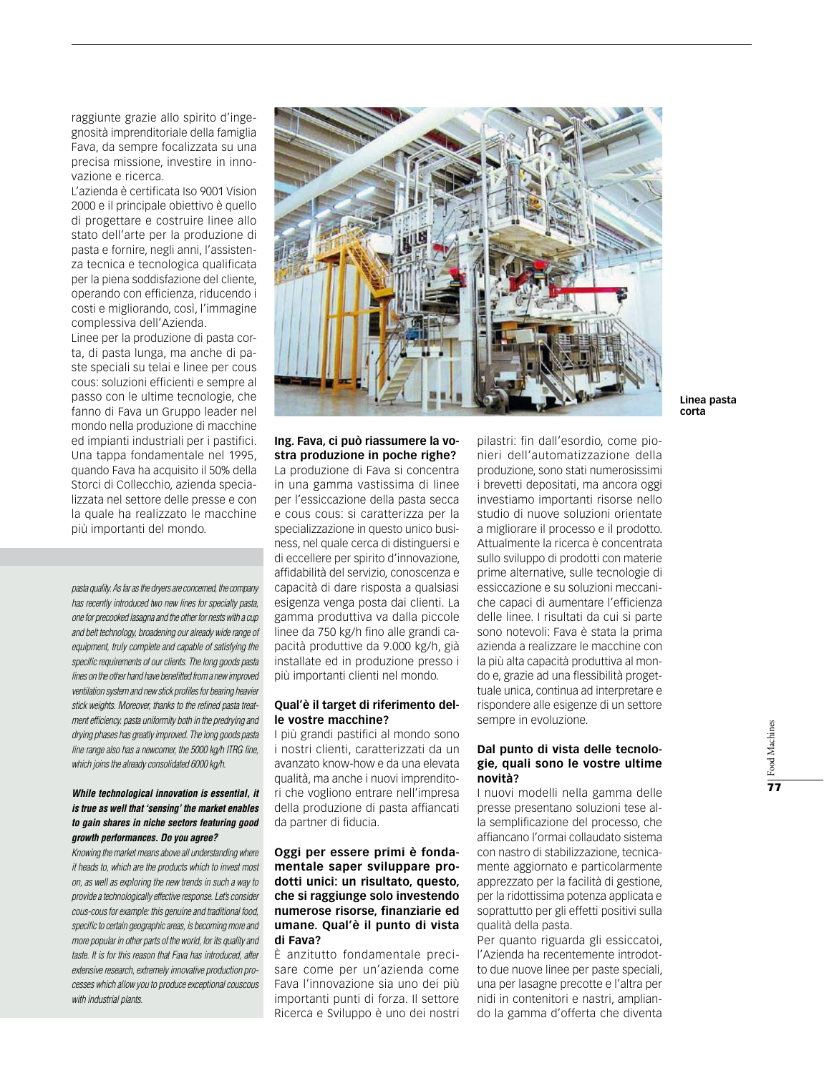raggiunte grazie allo spirito d'ingegnosità imprenditoriale della famiglia Fava, da sempre focalizzata su una precisa missione, investire in innovazione e ricerca.

L'azienda è certificata Iso 9001 Vision 2000 e il principale obiettivo è quello di progettare e costruire linee allo stato dell'arte per la produzione di pasta e fornire, negli anni, l'assistenza tecnica e tecnologica qualificata per la piena soddisfazione del cliente, operando con efficienza, riducendo i costi e migliorando, così, l'immagine complessiva dell'Azienda.

Linee per la produzione di pasta corta, di pasta lunga, ma anche di paste speciali su telai e linee per cous cous: soluzioni efficienti e sempre al passo con le ultime tecnologie, che fanno di Fava un Gruppo leader nel mondo nella produzione di macchine ed impianti industriali per i pastifici. Una tappa fondamentale nel 1995, quando Fava ha acquisito il 50% della Storci di Collecchio, azienda specializzata nel settore delle presse e con la quale ha realizzato le macchine più importanti del mondo.

*pasta quality. As far as the dryers are concerned, the company has recently introduced two new lines for specialty pasta, one for precooked lasagna and the other for nests with a cup and belt technology, broadening our already wide range of equipment, truly complete and capable of satisfying the specific requirements of our clients. The long goods pasta lines on the other hand have benefitted from a new improved ventilation system and new stick profiles for bearing heavier stick weights. Moreover, thanks to the refined pasta treatment efficiency. pasta uniformity both in the predrying and drying phases has greatly improved. The long goods pasta line range also has a newcomer, the 5000 kg/h ITRG line, which joins the already consolidated 6000 kg/h.*

# *While technological innovation is essential, it is true as well that 'sensing' the market enables to gain shares in niche sectors featuring good growth performances. Do you agree?*

*Knowing the market means above all understanding where it heads to, which are the products which to invest most on, as well as exploring the new trends in such a way to provide a technologically effective response. Let's consider cous-cous for example: this genuine and traditional food, specific to certain geographic areas, is becoming more and more popular in other parts of the world, for its quality and taste. It is for this reason that Fava has introduced, after extensive research, extremely innovative production processes which allow you to produce exceptional couscous with industrial plants.*



**Linea pasta corta**

# **Ing. Fava, ci può riassumere la vostra produzione in poche righe?** La produzione di Fava si concentra

in una gamma vastissima di linee per l'essiccazione della pasta secca e cous cous: si caratterizza per la specializzazione in questo unico business, nel quale cerca di distinguersi e di eccellere per spirito d'innovazione, affidabilità del servizio, conoscenza e capacità di dare risposta a qualsiasi esigenza venga posta dai clienti. La gamma produttiva va dalla piccole linee da 750 kg/h fino alle grandi capacità produttive da 9.000 kg/h, già installate ed in produzione presso i più importanti clienti nel mondo.

# **Qual'è il target di riferimento delle vostre macchine?**

I più grandi pastifici al mondo sono i nostri clienti, caratterizzati da un avanzato know-how e da una elevata qualità, ma anche i nuovi imprenditori che vogliono entrare nell'impresa della produzione di pasta affiancati da partner di fiducia.

# **Oggi per essere primi è fondamentale saper sviluppare prodotti unici: un risultato, questo, che si raggiunge solo investendo numerose risorse, finanziarie ed umane. Qual'è il punto di vista di Fava?**

È anzitutto fondamentale precisare come per un'azienda come Fava l'innovazione sia uno dei più importanti punti di forza. Il settore Ricerca e Sviluppo è uno dei nostri pilastri: fin dall'esordio, come pionieri dell'automatizzazione della produzione, sono stati numerosissimi i brevetti depositati, ma ancora oggi investiamo importanti risorse nello studio di nuove soluzioni orientate a migliorare il processo e il prodotto. Attualmente la ricerca è concentrata sullo sviluppo di prodotti con materie prime alternative, sulle tecnologie di essiccazione e su soluzioni meccaniche capaci di aumentare l'efficienza delle linee. I risultati da cui si parte sono notevoli: Fava è stata la prima azienda a realizzare le macchine con la più alta capacità produttiva al mondo e, grazie ad una flessibilità progettuale unica, continua ad interpretare e rispondere alle esigenze di un settore sempre in evoluzione.

# **Dal punto di vista delle tecnologie, quali sono le vostre ultime novità?**

I nuovi modelli nella gamma delle presse presentano soluzioni tese alla semplificazione del processo, che affiancano l'ormai collaudato sistema con nastro di stabilizzazione, tecnicamente aggiornato e particolarmente apprezzato per la facilità di gestione, per la ridottissima potenza applicata e soprattutto per gli effetti positivi sulla qualità della pasta.

Per quanto riguarda gli essiccatoi, l'Azienda ha recentemente introdotto due nuove linee per paste speciali, una per lasagne precotte e l'altra per nidi in contenitori e nastri, ampliando la gamma d'offerta che diventa